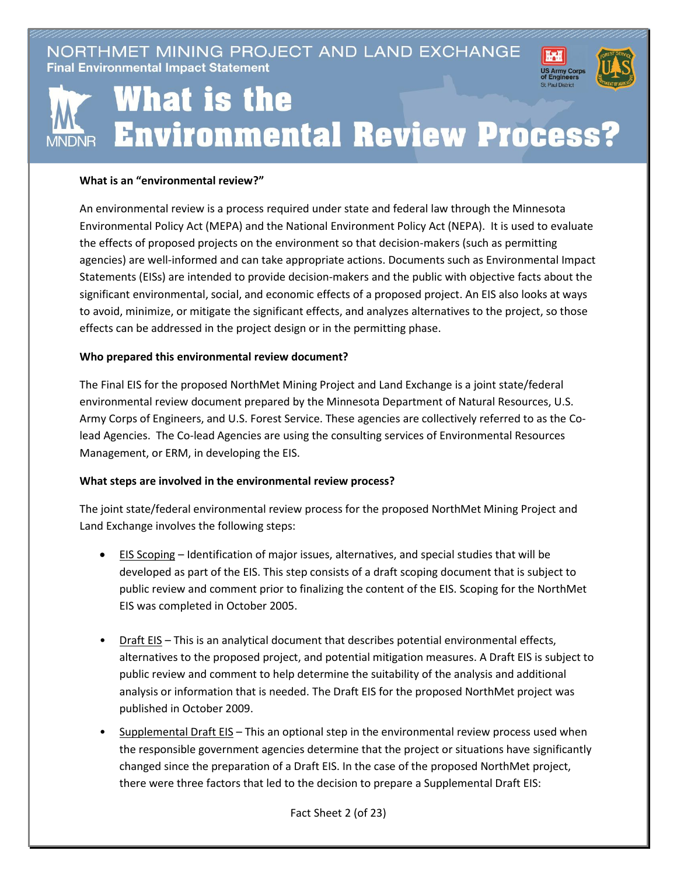NORTHMET MINING PROJECT AND LAND EXCHANGE **Final Environmental Impact Statement** 



## What is the **Environmental Review Process? MNDNR**

## **What is an "environmental review?"**

An environmental review is a process required under state and federal law through the Minnesota Environmental Policy Act (MEPA) and the National Environment Policy Act (NEPA). It is used to evaluate the effects of proposed projects on the environment so that decision-makers (such as permitting agencies) are well-informed and can take appropriate actions. Documents such as Environmental Impact Statements (EISs) are intended to provide decision-makers and the public with objective facts about the significant environmental, social, and economic effects of a proposed project. An EIS also looks at ways to avoid, minimize, or mitigate the significant effects, and analyzes alternatives to the project, so those effects can be addressed in the project design or in the permitting phase.

## **Who prepared this environmental review document?**

The Final EIS for the proposed NorthMet Mining Project and Land Exchange is a joint state/federal environmental review document prepared by the Minnesota Department of Natural Resources, U.S. Army Corps of Engineers, and U.S. Forest Service. These agencies are collectively referred to as the Colead Agencies. The Co-lead Agencies are using the consulting services of Environmental Resources Management, or ERM, in developing the EIS.

## **What steps are involved in the environmental review process?**

The joint state/federal environmental review process for the proposed NorthMet Mining Project and Land Exchange involves the following steps:

- EIS Scoping Identification of major issues, alternatives, and special studies that will be developed as part of the EIS. This step consists of a draft scoping document that is subject to public review and comment prior to finalizing the content of the EIS. Scoping for the NorthMet EIS was completed in October 2005.
- Draft EIS This is an analytical document that describes potential environmental effects, alternatives to the proposed project, and potential mitigation measures. A Draft EIS is subject to public review and comment to help determine the suitability of the analysis and additional analysis or information that is needed. The Draft EIS for the proposed NorthMet project was published in October 2009.
- Supplemental Draft EIS This an optional step in the environmental review process used when the responsible government agencies determine that the project or situations have significantly changed since the preparation of a Draft EIS. In the case of the proposed NorthMet project, there were three factors that led to the decision to prepare a Supplemental Draft EIS:

Fact Sheet 2 (of 23)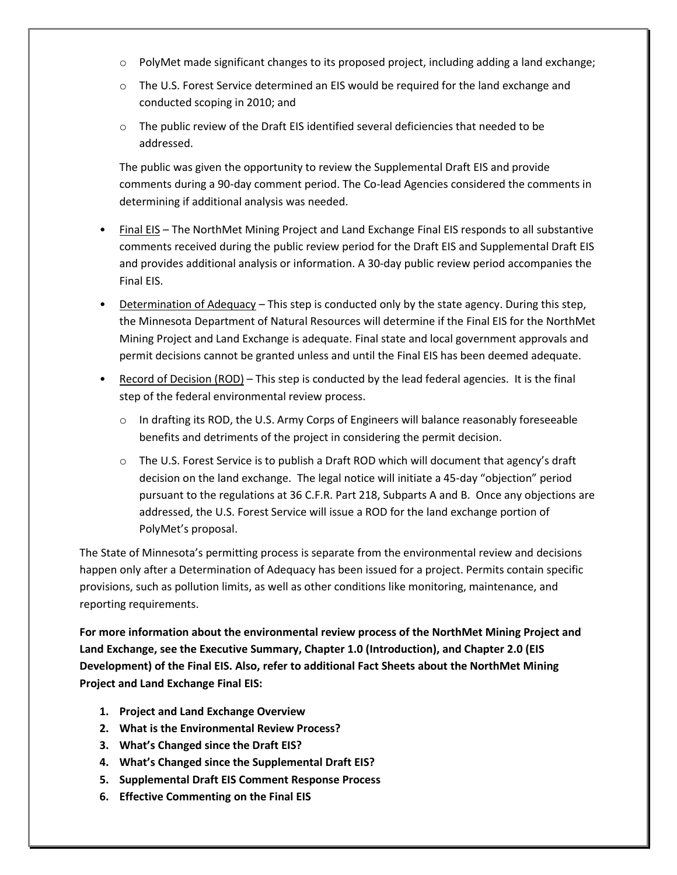- o PolyMet made significant changes to its proposed project, including adding a land exchange;
- $\circ$  The U.S. Forest Service determined an EIS would be required for the land exchange and conducted scoping in 2010; and
- o The public review of the Draft EIS identified several deficiencies that needed to be addressed.

The public was given the opportunity to review the Supplemental Draft EIS and provide comments during a 90-day comment period. The Co-lead Agencies considered the comments in determining if additional analysis was needed.

- Final EIS The NorthMet Mining Project and Land Exchange Final EIS responds to all substantive comments received during the public review period for the Draft EIS and Supplemental Draft EIS and provides additional analysis or information. A 30-day public review period accompanies the Final EIS.
- Determination of Adequacy This step is conducted only by the state agency. During this step, the Minnesota Department of Natural Resources will determine if the Final EIS for the NorthMet Mining Project and Land Exchange is adequate. Final state and local government approvals and permit decisions cannot be granted unless and until the Final EIS has been deemed adequate.
- Record of Decision (ROD) This step is conducted by the lead federal agencies. It is the final step of the federal environmental review process.
	- $\circ$  In drafting its ROD, the U.S. Army Corps of Engineers will balance reasonably foreseeable benefits and detriments of the project in considering the permit decision.
	- $\circ$  The U.S. Forest Service is to publish a Draft ROD which will document that agency's draft decision on the land exchange. The legal notice will initiate a 45-day "objection" period pursuant to the regulations at 36 C.F.R. Part 218, Subparts A and B. Once any objections are addressed, the U.S. Forest Service will issue a ROD for the land exchange portion of PolyMet's proposal.

The State of Minnesota's permitting process is separate from the environmental review and decisions happen only after a Determination of Adequacy has been issued for a project. Permits contain specific provisions, such as pollution limits, as well as other conditions like monitoring, maintenance, and reporting requirements.

**For more information about the environmental review process of the NorthMet Mining Project and Land Exchange, see the Executive Summary, Chapter 1.0 (Introduction), and Chapter 2.0 (EIS Development) of the Final EIS. Also, refer to additional Fact Sheets about the NorthMet Mining Project and Land Exchange Final EIS:**

- **1. Project and Land Exchange Overview**
- **2. What is the Environmental Review Process?**
- **3. What's Changed since the Draft EIS?**
- **4. What's Changed since the Supplemental Draft EIS?**
- **5. Supplemental Draft EIS Comment Response Process**
- **6. Effective Commenting on the Final EIS**